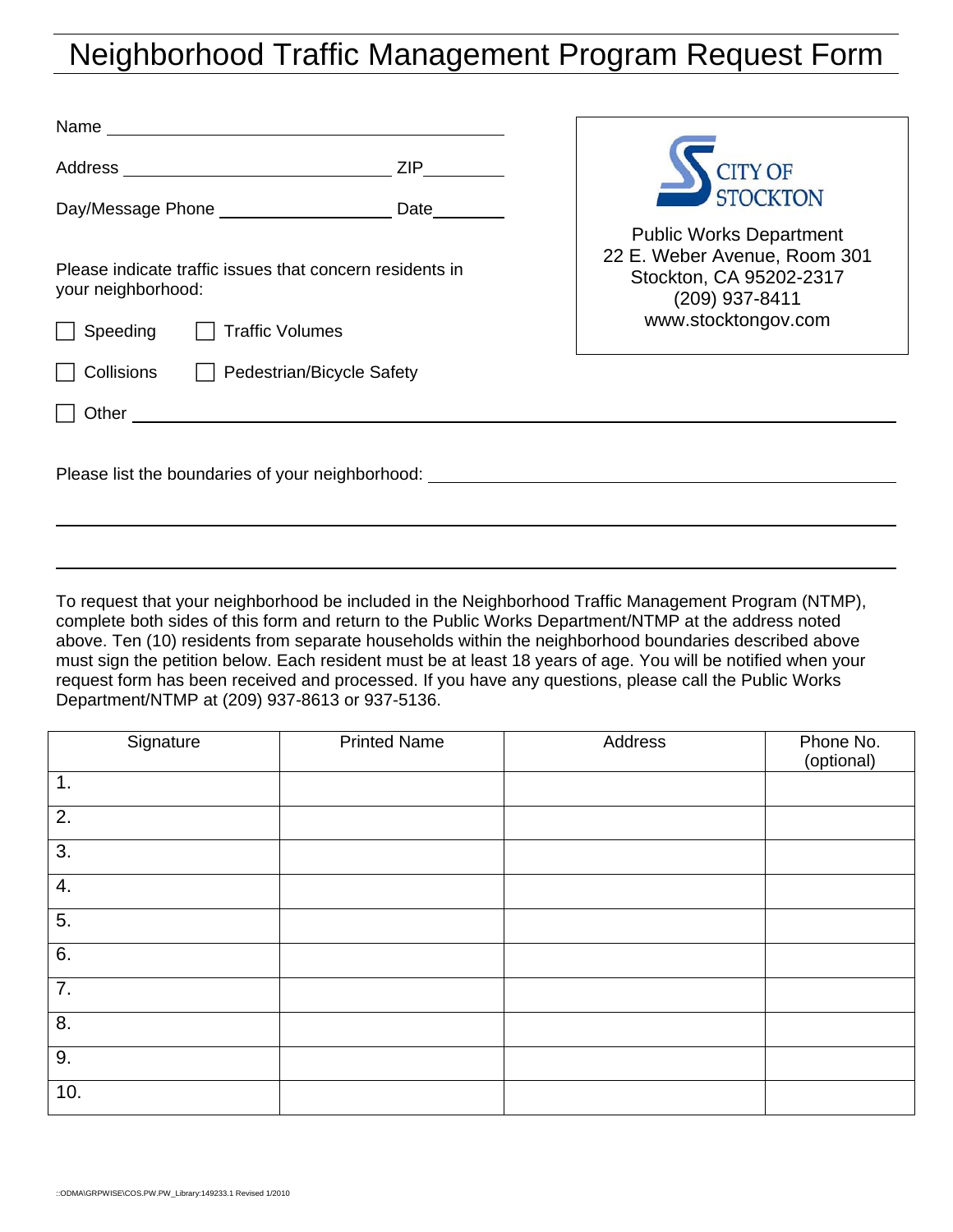## Neighborhood Traffic Management Program Request Form

| <b>ZIP</b>                                                                       | <b>STOCKTON</b>                                                                                             |  |
|----------------------------------------------------------------------------------|-------------------------------------------------------------------------------------------------------------|--|
| Day/Message Phone __________________________ Date___                             |                                                                                                             |  |
| Please indicate traffic issues that concern residents in<br>your neighborhood:   | <b>Public Works Department</b><br>22 E. Weber Avenue, Room 301<br>Stockton, CA 95202-2317<br>(209) 937-8411 |  |
| <b>Traffic Volumes</b><br>Speeding                                               | www.stocktongov.com                                                                                         |  |
| Pedestrian/Bicycle Safety<br>Collisions                                          |                                                                                                             |  |
| Other                                                                            |                                                                                                             |  |
| Please list the boundaries of your neighborhood: _______________________________ |                                                                                                             |  |

To request that your neighborhood be included in the Neighborhood Traffic Management Program (NTMP), complete both sides of this form and return to the Public Works Department/NTMP at the address noted above. Ten (10) residents from separate households within the neighborhood boundaries described above must sign the petition below. Each resident must be at least 18 years of age. You will be notified when your request form has been received and processed. If you have any questions, please call the Public Works Department/NTMP at (209) 937-8613 or 937-5136.

| Signature        | <b>Printed Name</b> | Address | Phone No.<br>(optional) |
|------------------|---------------------|---------|-------------------------|
| 1.               |                     |         |                         |
| 2.               |                     |         |                         |
| 3.               |                     |         |                         |
| 4.               |                     |         |                         |
| 5.               |                     |         |                         |
| 6.               |                     |         |                         |
| 7.               |                     |         |                         |
| $\overline{8}$ . |                     |         |                         |
| 9.               |                     |         |                         |
| 10.              |                     |         |                         |

 $\overline{a}$ 

 $\overline{a}$